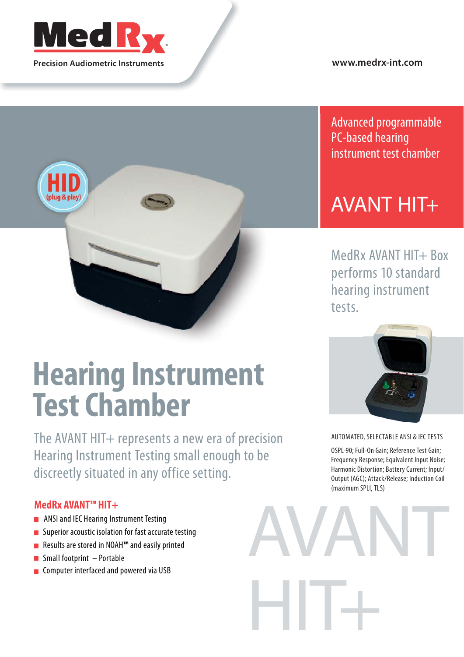

**Precision Audiometric Instruments**

plug & play

**www.medrx-int.com**

Advanced programmable PC-based hearing instrument test chamber

## AVANT HIT+

MedRx AVANT HIT+ Box performs 10 standard hearing instrument tests.

# **Hearing Instrument Test Chamber**

The AVANT HIT+ represents a new era of precision Hearing Instrument Testing small enough to be discreetly situated in any office setting.

#### **MedRx AVANT™ HIT+**

- **ANSI and IEC Hearing Instrument Testing**
- **Superior acoustic isolation for fast accurate testing**
- Results are stored in NOAH**™** and easily printed
- $\blacksquare$  Small footprint Portable
- **Computer interfaced and powered via USB**



AUTOMATED, SELECTABLE ANSI & IEC TESTS

OSPL-90; Full-On Gain; Reference Test Gain; Frequency Response; Equivalent Input Noise; Harmonic Distortion; Battery Current; Input/ Output (AGC); Attack/Release; Induction Coil (maximum SPLI, TLS)